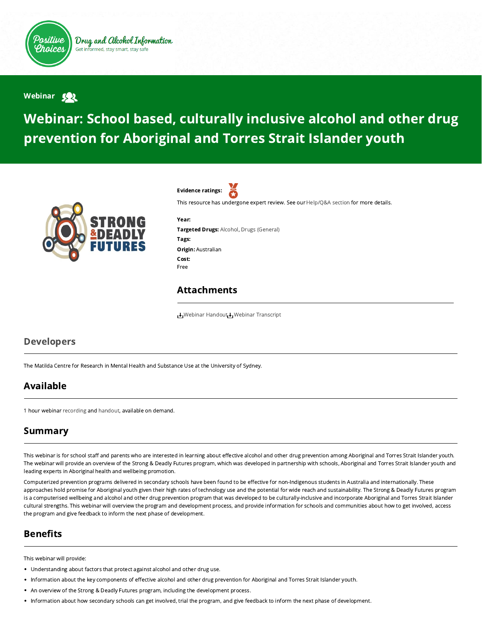

Drug and Alcohol Information Get informed, stay smart, stay safe

#### Webinar <a>

# Webinar: School based, culturally inclusive alcohol and other drug prevention for Aboriginal and Torres Strait Islander youth



Evidence ratings:

This resource has undergone expert review. See our [Help/Q&A section](https://positivechoices.org.au/help/questions-and-answers/) for more details.

Year: Targeted Drugs: Alcohol, Drugs (General) Tags: Origin: Australian Cost: Free

#### Attachments

**↓** [Webinar Handout](https://positivechoices.org.au/documents/fAnPrgiWN6/webinar-handout/) ↓ [Webinar Transcript](https://positivechoices.org.au/documents/D4iEhOvbXH/webinar-transcript/)

#### Developers

The Matilda Centre for Research in Mental Health and Substance Use at the University of Sydney.

## Available

1 hour webinar [recording](https://www.youtube.com/watch?v=fjhSeXwcIf8&feature=youtu.be) and [handout,](https://positivechoices.org.au/documents/fAnPrgiWN6/webinar-handout/) available on demand.

## Summary

This webinar is for school staff and parents who are interested in learning about effective alcohol and other drug prevention among Aboriginal and Torres Strait Islander youth. The webinar will provide an overview of the Strong & Deadly Futures program, which was developed in partnership with schools, Aboriginal and Torres Strait Islander youth and leading experts in Aboriginal health and wellbeing promotion.

Computerized prevention programs delivered in secondary schools have been found to be effective for non-Indigenous students in Australia and internationally. These approaches hold promise for Aboriginal youth given their high rates of technology use and the potential for wide reach and sustainability. The Strong & Deadly Futures program is a computerised wellbeing and alcohol and other drug prevention program that was developed to be culturally-inclusive and incorporate Aboriginal and Torres Strait Islander cultural strengths. This webinar will overview the program and development process, and provide information for schools and communities about how to get involved, access the program and give feedback to inform the next phase of development.

## **Benefits**

This webinar will provide:

- Understanding about factors that protect against alcohol and other drug use.
- . Information about the key components of effective alcohol and other drug prevention for Aboriginal and Torres Strait Islander youth.
- An overview of the Strong & Deadly Futures program, including the development process.
- Information about how secondary schools can get involved, trial the program, and give feedback to inform the next phase of development.